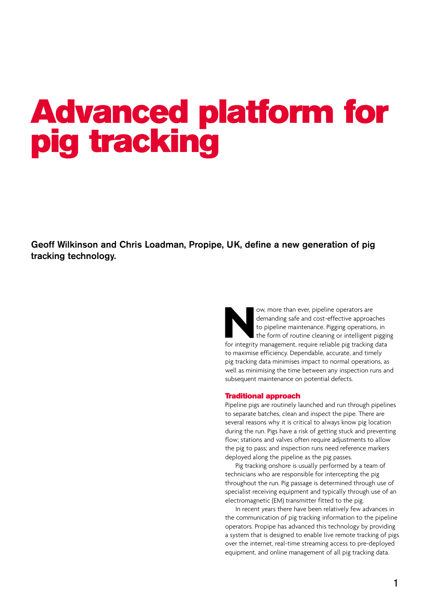# Advanced platform for pig tracking

Geoff Wilkinson and Chris Loadman, Propipe, UK, define a new generation of pig tracking technology.

> Now, more than ever, pipeline operators are demanding safe and cost-effective approaches to pipeline maintenance. Pigging operations, in the form of routine cleaning or intelligent piggir for integrity management, require demanding safe and cost-effective approaches to pipeline maintenance. Pigging operations, in the form of routine cleaning or intelligent pigging to maximise efficiency. Dependable, accurate, and timely pig tracking data minimises impact to normal operations, as well as minimising the time between any inspection runs and subsequent maintenance on potential defects.

## Traditional approach

Pipeline pigs are routinely launched and run through pipelines to separate batches, clean and inspect the pipe. There are several reasons why it is critical to always know pig location during the run. Pigs have a risk of getting stuck and preventing flow; stations and valves often require adjustments to allow the pig to pass; and inspection runs need reference markers deployed along the pipeline as the pig passes.

Pig tracking onshore is usually performed by a team of technicians who are responsible for intercepting the pig throughout the run. Pig passage is determined through use of specialist receiving equipment and typically through use of an electromagnetic (EM) transmitter fitted to the pig.

In recent years there have been relatively few advances in the communication of pig tracking information to the pipeline operators. Propipe has advanced this technology by providing a system that is designed to enable live remote tracking of pigs over the internet, real-time streaming access to pre-deployed equipment, and online management of all pig tracking data.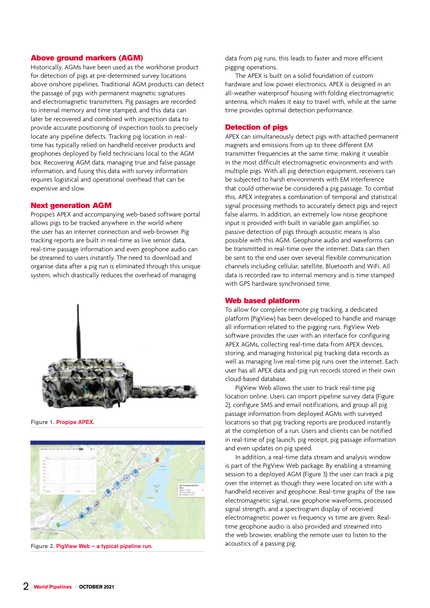## Above ground markers (AGM)

Historically, AGMs have been used as the workhorse product for detection of pigs at pre-determined survey locations above onshore pipelines. Traditional AGM products can detect the passage of pigs with permanent magnetic signatures and electromagnetic transmitters. Pig passages are recorded to internal memory and time stamped, and this data can later be recovered and combined with inspection data to provide accurate positioning of inspection tools to precisely locate any pipeline defects. Tracking pig location in realtime has typically relied on handheld receiver products and geophones deployed by field technicians local to the AGM box. Recovering AGM data, managing true and false passage information, and fusing this data with survey information requires logistical and operational overhead that can be expensive and slow.

## Next generation AGM

Propipe's APEX and accompanying web-based software portal allows pigs to be tracked anywhere in the world where the user has an internet connection and web-browser. Pig tracking reports are built in real-time as live sensor data, real-time passage information and even geophone audio can be streamed to users instantly. The need to download and organise data after a pig run is eliminated through this unique system, which drastically reduces the overhead of managing



Figure 1. Propipe APEX.



Figure 2. PigView Web – a typical pipeline run.

data from pig runs, this leads to faster and more efficient pigging operations.

The APEX is built on a solid foundation of custom hardware and low power electronics. APEX is designed in an all-weather waterproof housing with folding electromagnetic antenna, which makes it easy to travel with, while at the same time provides optimal detection performance.

#### Detection of pigs

APEX can simultaneously detect pigs with attached permanent magnets and emissions from up to three different EM transmitter frequencies at the same time, making it useable in the most difficult electromagnetic environments and with multiple pigs. With all pig detection equipment, receivers can be subjected to harsh environments with EM interference that could otherwise be considered a pig passage. To combat this, APEX integrates a combination of temporal and statistical signal processing methods to accurately detect pigs and reject false alarms. In addition, an extremely low noise geophone input is provided with built in variable gain amplifier, so passive detection of pigs through acoustic means is also possible with this AGM. Geophone audio and waveforms can be transmitted in real-time over the internet. Data can then be sent to the end user over several flexible communication channels including cellular, satellite, Bluetooth and WiFi. All data is recorded raw to internal memory and is time stamped with GPS hardware synchronised time.

## Web based platform

To allow for complete remote pig tracking, a dedicated platform (PigView) has been developed to handle and manage all information related to the pigging runs. PigView Web software provides the user with an interface for configuring APEX AGMs, collecting real-time data from APEX devices, storing, and managing historical pig tracking data records as well as managing live real-time pig runs over the internet. Each user has all APEX data and pig run records stored in their own cloud-based database.

PigView Web allows the user to track real-time pig location online. Users can import pipeline survey data (Figure 2), configure SMS and email notifications, and group all pig passage information from deployed AGMs with surveyed locations so that pig tracking reports are produced instantly at the completion of a run. Users and clients can be notified in real-time of pig launch, pig receipt, pig passage information and even updates on pig speed.

In addition, a real-time data stream and analysis window is part of the PigView Web package. By enabling a streaming session to a deployed AGM (Figure 3) the user can track a pig over the internet as though they were located on site with a handheld receiver and geophone. Real-time graphs of the raw electromagnetic signal, raw geophone waveforms, processed signal strength, and a spectrogram display of received electromagnetic power vs frequency vs time are given. Realtime geophone audio is also provided and streamed into the web browser, enabling the remote user to listen to the acoustics of a passing pig.